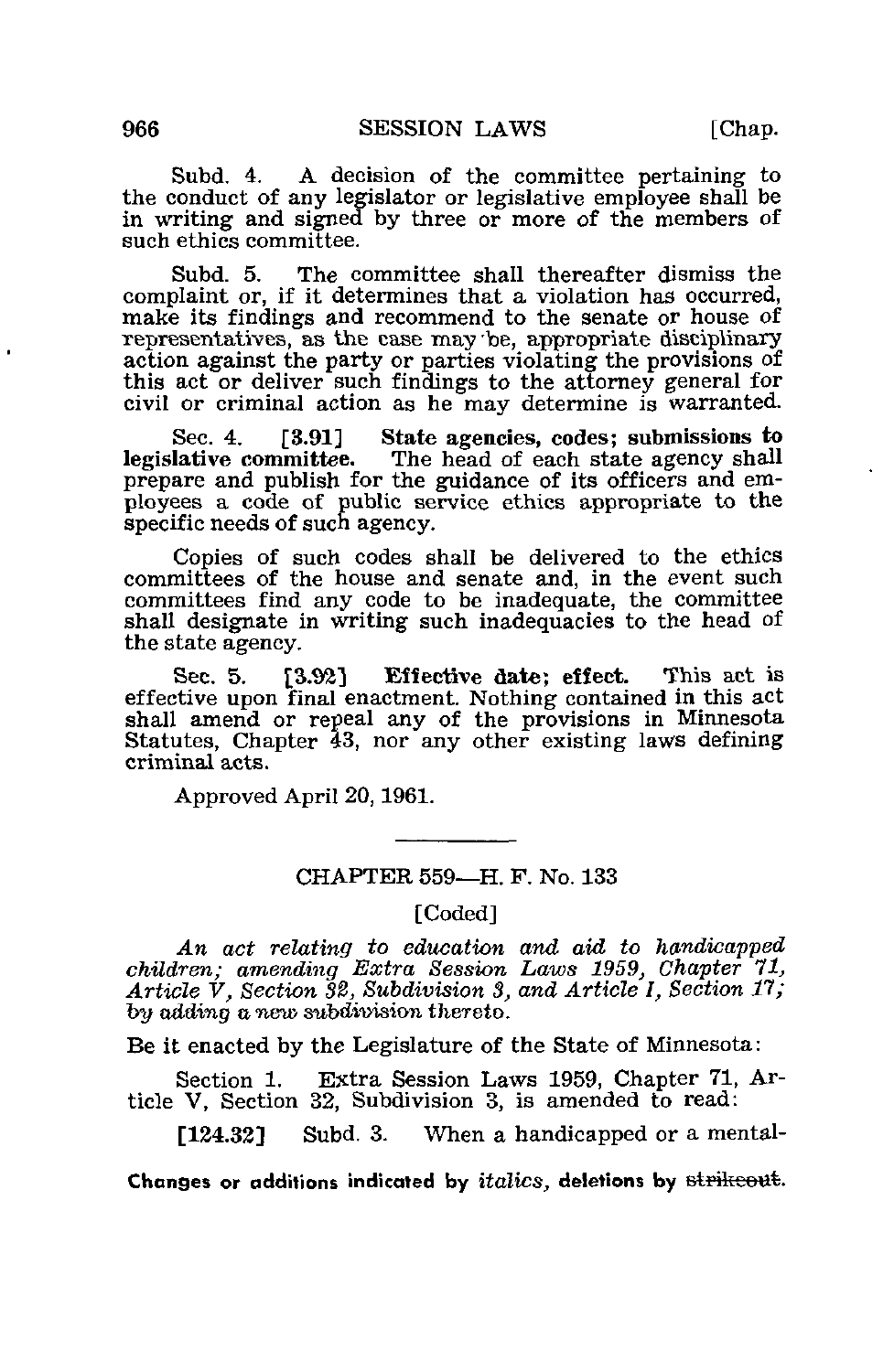Subd. 4. A decision of the committee pertaining to the conduct of any legislator or legislative employee shall be in writing and signed by three or more of the members of such ethics committee.

Subd. 5. The committee shall thereafter dismiss the complaint or, if it determines that a violation has occurred, make its findings and recommend to the senate or house of representatives, as the case may 'be, appropriate disciplinary action against the party or parties violating the provisions of this act or deliver such findings to the attorney general for civil or criminal action as he may determine is warranted.

Sec. 4. [3.91] State agencies, codes; submissions to legislative committee. The head of each state agency shall The head of each state agency shall prepare and publish for the guidance of its officers and employees a code of public service ethics appropriate to the specific needs of such agency.

Copies of such codes shall be delivered to the ethics committees of the house and senate and, in the event such committees find any code to be inadequate, the committee shall designate in writing such inadequacies to the head of the state agency.

Sec. 5. [3.92] Effective date; effect. This act is effective upon final enactment. Nothing contained in this act shall amend or repeal any of the provisions in Minnesota Statutes, Chapter 43, nor any other existing laws defining criminal acts.

Approved April 20,1961.

## CHAPTER 559—H. F. No. 133

[Coded]

An act relating to education and aid to handicapped children; amending Extra Session Laws 1959, Chapter 7l} Article V, Section 32, Subdivision 3, and Article I, Section 17; by adding a new subdivision thereto.

Be it enacted by the Legislature of the State of Minnesota:

Section 1. Extra Session Laws 1959, Chapter 71, Article V, Section 32, Subdivision 3, is amended to read:

[124.32] Subd. 3. When a handicapped or a mental-

Changes or additions indicated by  $italics$ , deletions by  $\text{stri}\text{lt} \text{out}.$